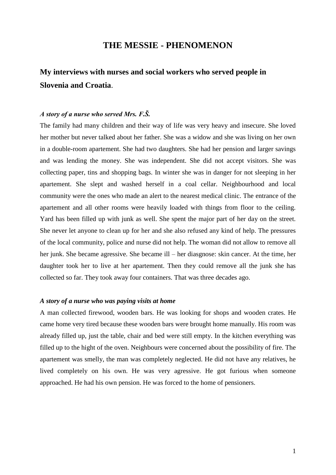## **THE MESSIE - PHENOMENON**

# **My interviews with nurses and social workers who served people in Slovenia and Croatia**.

#### *A story of a nurse who served Mrs. F.Š.*

The family had many children and their way of life was very heavy and insecure. She loved her mother but never talked about her father. She was a widow and she was living on her own in a double-room apartement. She had two daughters. She had her pension and larger savings and was lending the money. She was independent. She did not accept visitors. She was collecting paper, tins and shopping bags. In winter she was in danger for not sleeping in her apartement. She slept and washed herself in a coal cellar. Neighbourhood and local community were the ones who made an alert to the nearest medical clinic. The entrance of the apartement and all other rooms were heavily loaded with things from floor to the ceiling. Yard has been filled up with junk as well. She spent the major part of her day on the street. She never let anyone to clean up for her and she also refused any kind of help. The pressures of the local community, police and nurse did not help. The woman did not allow to remove all her junk. She became agressive. She became ill – her diasgnose: skin cancer. At the time, her daughter took her to live at her apartement. Then they could remove all the junk she has collected so far. They took away four containers. That was three decades ago.

#### *A story of a nurse who was paying visits at home*

A man collected firewood, wooden bars. He was looking for shops and wooden crates. He came home very tired because these wooden bars were brought home manually. His room was already filled up, just the table, chair and bed were still empty. In the kitchen everything was filled up to the hight of the oven. Neighbours were concerned about the possibility of fire. The apartement was smelly, the man was completely neglected. He did not have any relatives, he lived completely on his own. He was very agressive. He got furious when someone approached. He had his own pension. He was forced to the home of pensioners.